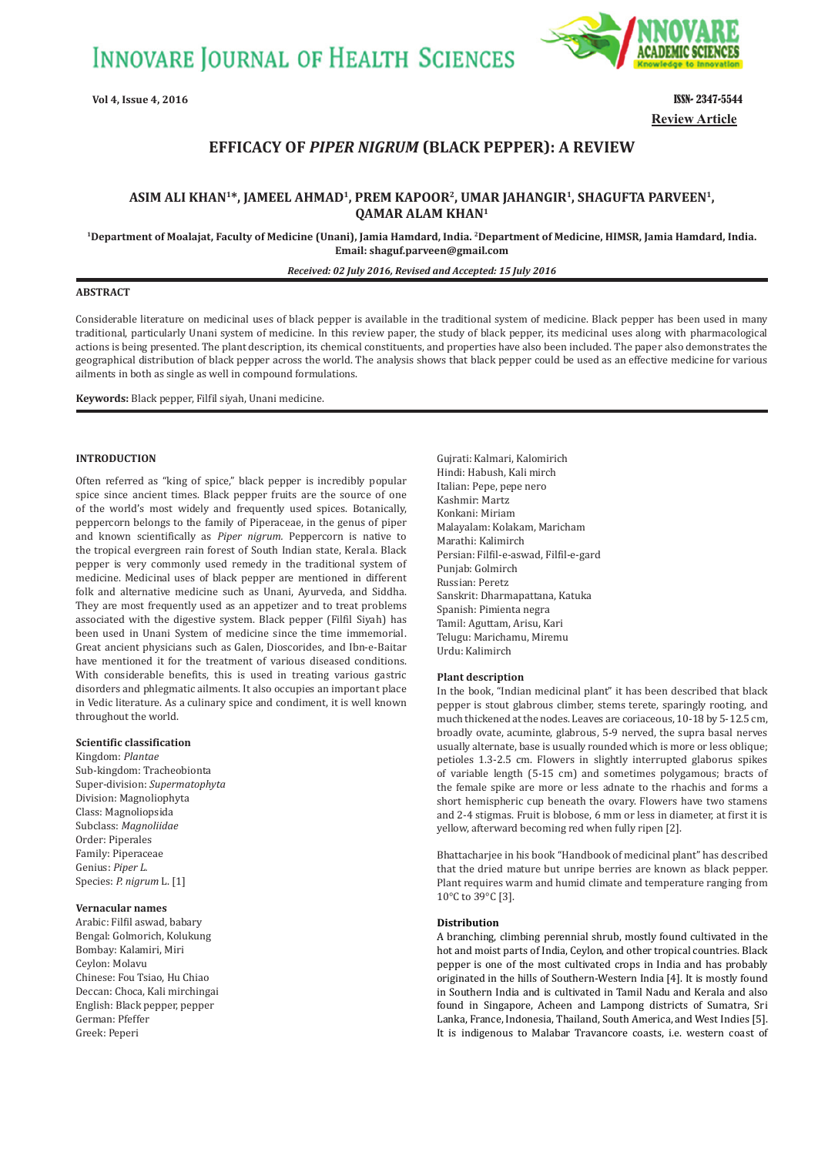**INNOVARE JOURNAL OF HEALTH SCIENCES** 



**Vol 4, Issue 4, 2016** ISSN- 2347-5544 **Review Article**

# **EFFICACY OF** *PIPER NIGRUM* **ȍBLACK PEPPERȎ: A REVIEW**

## **ASIM ALI KHAN1\*, JAMEEL AHMAD1, PREM KAPOOR2, UMAR JAHANGIR1, SHAGUFTA PARVEEN1, QAMAR ALAM KHAN1**

**1Department of Moalajat, Faculty of Medicine (Unani), Jamia Hamdard, India. 2Department of Medicine, HIMSR, Jamia Hamdard, India. Email: shaguf.parveen@gmail.com**

*Received: 02 July 2016, Revised and Accepted: 15 July 2016*

## **ABSTRACT**

Considerable literature on medicinal uses of black pepper is available in the traditional system of medicine. Black pepper has been used in many traditional, particularly Unani system of medicine. In this review paper, the study of black pepper, its medicinal uses along with pharmacological actions is being presented. The plant description, its chemical constituents, and properties have also been included. The paper also demonstrates the geographical distribution of black pepper across the world. The analysis shows that black pepper could be used as an effective medicine for various ailments in both as single as well in compound formulations.

**Keywords:** Black pepper, Filfil siyah, Unani medicine.

## **INTRODUCTION**

Often referred as "king of spice," black pepper is incredibly popular spice since ancient times. Black pepper fruits are the source of one of the world's most widely and frequently used spices. Botanically, peppercorn belongs to the family of Piperaceae, in the genus of piper and known scientifically as *Piper nigrum.* Peppercorn is native to the tropical evergreen rain forest of South Indian state, Kerala. Black pepper is very commonly used remedy in the traditional system of medicine. Medicinal uses of black pepper are mentioned in different folk and alternative medicine such as Unani, Ayurveda, and Siddha. They are most frequently used as an appetizer and to treat problems associated with the digestive system. Black pepper (Filfil Siyah) has been used in Unani System of medicine since the time immemorial. Great ancient physicians such as Galen, Dioscorides, and Ibn-e-Baitar have mentioned it for the treatment of various diseased conditions. With considerable benefits, this is used in treating various gastric disorders and phlegmatic ailments. It also occupies an important place in Vedic literature. As a culinary spice and condiment, it is well known throughout the world.

## **Scientific classification**

Kingdom: *Plantae* Sub-kingdom: Tracheobionta Super-division: *Supermatophyta* Division: Magnoliophyta Class: Magnoliopsida Subclass: *Magnoliidae* Order: Piperales Family: Piperaceae Genius: *Piper L.* Species: *P. nigrum* L. [1]

#### **Vernacular names**

Arabic: Filfil aswad, babary Bengal: Golmorich, Kolukung Bombay: Kalamiri, Miri Ceylon: Molavu Chinese: Fou Tsiao, Hu Chiao Deccan: Choca, Kali mirchingai English: Black pepper, pepper German: Pfeffer Greek: Peperi

Gujrati: Kalmari, Kalomirich Hindi: Habush, Kali mirch Italian: Pepe, pepe nero Kashmir: Martz Konkani: Miriam Malayalam: Kolakam, Maricham Marathi: Kalimirch Persian: Filfil-e-aswad, Filfil-e-gard Punjab: Golmirch Russian: Peretz Sanskrit: Dharmapattana, Katuka Spanish: Pimienta negra Tamil: Aguttam, Arisu, Kari Telugu: Marichamu, Miremu Urdu: Kalimirch

#### **Plant description**

In the book, "Indian medicinal plant" it has been described that black pepper is stout glabrous climber, stems terete, sparingly rooting, and much thickened at the nodes. Leaves are coriaceous, 10-18 by 5-12.5 cm, broadly ovate, acuminte, glabrous, 5-9 nerved, the supra basal nerves usually alternate, base is usually rounded which is more or less oblique; petioles 1.3-2.5 cm. Flowers in slightly interrupted glaborus spikes of variable length (5-15 cm) and sometimes polygamous; bracts of the female spike are more or less adnate to the rhachis and forms a short hemispheric cup beneath the ovary. Flowers have two stamens and 2-4 stigmas. Fruit is blobose, 6 mm or less in diameter, at first it is yellow, afterward becoming red when fully ripen [2].

Bhattacharjee in his book "Handbook of medicinal plant" has described that the dried mature but unripe berries are known as black pepper. Plant requires warm and humid climate and temperature ranging from 10°C to 39°C [3].

#### **Distribution**

A branching, climbing perennial shrub, mostly found cultivated in the hot and moist parts of India, Ceylon, and other tropical countries. Black pepper is one of the most cultivated crops in India and has probably originated in the hills of Southern-Western India [4]. It is mostly found in Southern India and is cultivated in Tamil Nadu and Kerala and also found in Singapore, Acheen and Lampong districts of Sumatra, Sri Lanka, France, Indonesia, Thailand, South America, and West Indies [5]. It is indigenous to Malabar Travancore coasts, i.e. western coast of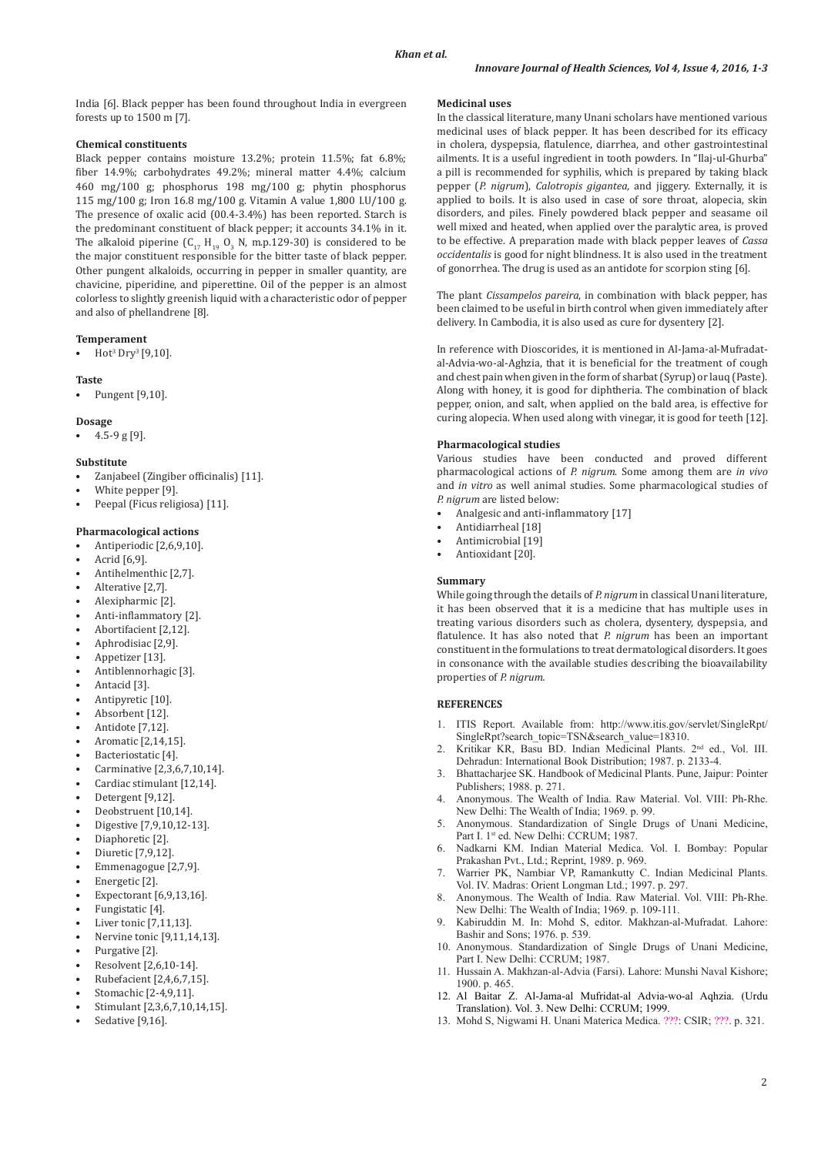India [6]. Black pepper has been found throughout India in evergreen forests up to 1500 m [7].

## **Chemical constituents**

Black pepper contains moisture 13.2%; protein 11.5%; fat 6.8%; fiber 14.9%; carbohydrates 49.2%; mineral matter 4.4%; calcium 460 mg/100 g; phosphorus 198 mg/100 g; phytin phosphorus 115 mg/100 g; Iron 16.8 mg/100 g. Vitamin A value 1,800 I.U/100 g. The presence of oxalic acid (00.4-3.4%) has been reported. Starch is the predominant constituent of black pepper; it accounts 34.1% in it. The alkaloid piperine  $(C_{17} H_{19} O_3 N, m.p.129-30)$  is considered to be the major constituent responsible for the bitter taste of black pepper. Other pungent alkaloids, occurring in pepper in smaller quantity, are chavicine, piperidine, and piperettine. Oil of the pepper is an almost colorless to slightly greenish liquid with a characteristic odor of pepper and also of phellandrene [8].

#### **Temperament**

• Hot<sup>3</sup> Dry<sup>3</sup> [9,10].

#### **Taste**

• Pungent [9,10].

#### **Dosage**

 $4.5 - 9$  g [9].

### **Substitute**

- Zanjabeel (Zingiber officinalis) [11].
- White pepper [9].
- Peepal (Ficus religiosa) [11].

## **Pharmacological actions**

- Antiperiodic [2,6,9,10].
- Acrid [6,9].
- Antihelmenthic [2,7].
- Alterative [2,7].
- Alexipharmic [2].
- Anti-inflammatory [2].
- Abortifacient [2,12].
- Aphrodisiac [2,9].
- Appetizer [13].
- Antiblennorhagic [3].
- Antacid [3].
- Antipyretic [10].
- Absorbent [12].
- Antidote [7,12].
- Aromatic [2,14,15].
- Bacteriostatic [4].
- Carminative [2,3,6,7,10,14].
- Cardiac stimulant [12,14].
- Detergent [9,12].
- Deobstruent [10,14].
- Digestive [7,9,10,12-13].
- Diaphoretic [2].
- Diuretic [7,9,12]. • Emmenagogue [2,7,9].
- Energetic [2].
- 
- Expectorant [6,9,13,16]. Fungistatic [4].
- Liver tonic [7,11,13].
- Nervine tonic [9,11,14,13].
- Purgative [2].
- Resolvent [2,6,10-14].
- Rubefacient [2,4,6,7,15].
- Stomachic [2-4,9,11].
- Stimulant [2,3,6,7,10,14,15].
- Sedative [9,16].

## **Medicinal uses**

In the classical literature, many Unani scholars have mentioned various medicinal uses of black pepper. It has been described for its efficacy in cholera, dyspepsia, flatulence, diarrhea, and other gastrointestinal ailments. It is a useful ingredient in tooth powders. In "Ilaj-ul-Ghurba" a pill is recommended for syphilis, which is prepared by taking black pepper (*P. nigrum*), *Calotropis gigantea,* and jiggery. Externally, it is applied to boils. It is also used in case of sore throat, alopecia, skin disorders, and piles. Finely powdered black pepper and seasame oil well mixed and heated, when applied over the paralytic area, is proved to be effective. A preparation made with black pepper leaves of *Cassa occidentalis* is good for night blindness. It is also used in the treatment of gonorrhea. The drug is used as an antidote for scorpion sting [6].

The plant *Cissampelos pareira*, in combination with black pepper, has been claimed to be useful in birth control when given immediately after delivery. In Cambodia, it is also used as cure for dysentery [2].

In reference with Dioscorides, it is mentioned in Al-Jama-al-Mufradatal-Advia-wo-al-Aghzia, that it is beneficial for the treatment of cough and chest pain when given in the form of sharbat (Syrup) or lauq (Paste). Along with honey, it is good for diphtheria. The combination of black pepper, onion, and salt, when applied on the bald area, is effective for curing alopecia. When used along with vinegar, it is good for teeth [12].

#### **Pharmacological studies**

Various studies have been conducted and proved different pharmacological actions of *P. nigrum*. Some among them are *in vivo* and *in vitro* as well animal studies. Some pharmacological studies of *P. nigrum* are listed below:

- Analgesic and anti-inflammatory [17]
- Antidiarrheal [18]
- Antimicrobial [19]
- Antioxidant [20].

#### **Summary**

While going through the details of *P. nigrum* in classical Unani literature, it has been observed that it is a medicine that has multiple uses in treating various disorders such as cholera, dysentery, dyspepsia, and flatulence. It has also noted that *P. nigrum* has been an important constituent in the formulations to treat dermatological disorders. It goes in consonance with the available studies describing the bioavailability properties of *P. nigrum.*

#### **REFERENCES**

- 1. ITIS Report. Available from: http://www.itis.gov/servlet/SingleRpt/ SingleRpt?search\_topic=TSN&search\_value=18310.
- 2. Kritikar KR, Basu BD. Indian Medicinal Plants. 2nd ed., Vol. III. Dehradun: International Book Distribution; 1987. p. 2133-4.
- 3. Bhattacharjee SK. Handbook of Medicinal Plants. Pune, Jaipur: Pointer Publishers; 1988. p. 271.
- 4. Anonymous. The Wealth of India. Raw Material. Vol. VIII: Ph-Rhe. New Delhi: The Wealth of India; 1969. p. 99.
- 5. Anonymous. Standardization of Single Drugs of Unani Medicine, Part I. 1st ed. New Delhi: CCRUM; 1987.
- 6. Nadkarni KM. Indian Material Medica. Vol. I. Bombay: Popular Prakashan Pvt., Ltd.; Reprint, 1989. p. 969.
- 7. Warrier PK, Nambiar VP, Ramankutty C. Indian Medicinal Plants. Vol. IV. Madras: Orient Longman Ltd.; 1997. p. 297.
- 8. Anonymous. The Wealth of India. Raw Material. Vol. VIII: Ph-Rhe. New Delhi: The Wealth of India; 1969. p. 109-111.
- 9. Kabiruddin M. In: Mohd S, editor. Makhzan-al-Mufradat. Lahore: Bashir and Sons; 1976. p. 539.
- 10. Anonymous. Standardization of Single Drugs of Unani Medicine, Part I. New Delhi: CCRUM; 1987.
- 11. Hussain A. Makhzan-al-Advia (Farsi). Lahore: Munshi Naval Kishore; 1900. p. 465.
- 12. Al Baitar Z. Al-Jama-al Mufridat-al Advia-wo-al Aqhzia. (Urdu Translation). Vol. 3. New Delhi: CCRUM; 1999.
- 13. Mohd S, Nigwami H. Unani Materica Medica. ???: CSIR; ???. p. 321.